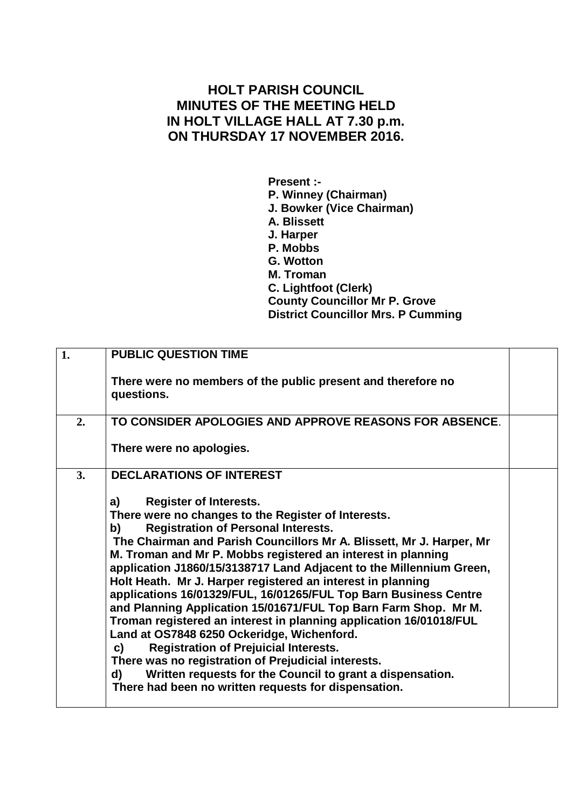## **HOLT PARISH COUNCIL MINUTES OF THE MEETING HELD IN HOLT VILLAGE HALL AT 7.30 p.m. ON THURSDAY 17 NOVEMBER 2016.**

**Present :- P. Winney (Chairman) J. Bowker (Vice Chairman) A. Blissett J. Harper P. Mobbs G. Wotton M. Troman C. Lightfoot (Clerk) County Councillor Mr P. Grove District Councillor Mrs. P Cumming**

| 1. | <b>PUBLIC QUESTION TIME</b>                                                                                                                                                                                                                                                                                                                                                                                                                                                                                                                                                                                                                                                                                                                                                                                                                                                                                                     |  |
|----|---------------------------------------------------------------------------------------------------------------------------------------------------------------------------------------------------------------------------------------------------------------------------------------------------------------------------------------------------------------------------------------------------------------------------------------------------------------------------------------------------------------------------------------------------------------------------------------------------------------------------------------------------------------------------------------------------------------------------------------------------------------------------------------------------------------------------------------------------------------------------------------------------------------------------------|--|
|    | There were no members of the public present and therefore no<br>questions.                                                                                                                                                                                                                                                                                                                                                                                                                                                                                                                                                                                                                                                                                                                                                                                                                                                      |  |
| 2. | TO CONSIDER APOLOGIES AND APPROVE REASONS FOR ABSENCE.                                                                                                                                                                                                                                                                                                                                                                                                                                                                                                                                                                                                                                                                                                                                                                                                                                                                          |  |
|    | There were no apologies.                                                                                                                                                                                                                                                                                                                                                                                                                                                                                                                                                                                                                                                                                                                                                                                                                                                                                                        |  |
| 3. | <b>DECLARATIONS OF INTEREST</b>                                                                                                                                                                                                                                                                                                                                                                                                                                                                                                                                                                                                                                                                                                                                                                                                                                                                                                 |  |
|    | <b>Register of Interests.</b><br>a)<br>There were no changes to the Register of Interests.<br><b>Registration of Personal Interests.</b><br>b)<br>The Chairman and Parish Councillors Mr A. Blissett, Mr J. Harper, Mr<br>M. Troman and Mr P. Mobbs registered an interest in planning<br>application J1860/15/3138717 Land Adjacent to the Millennium Green,<br>Holt Heath. Mr J. Harper registered an interest in planning<br>applications 16/01329/FUL, 16/01265/FUL Top Barn Business Centre<br>and Planning Application 15/01671/FUL Top Barn Farm Shop. Mr M.<br>Troman registered an interest in planning application 16/01018/FUL<br>Land at OS7848 6250 Ockeridge, Wichenford.<br><b>Registration of Prejuicial Interests.</b><br>C)<br>There was no registration of Prejudicial interests.<br>Written requests for the Council to grant a dispensation.<br>d)<br>There had been no written requests for dispensation. |  |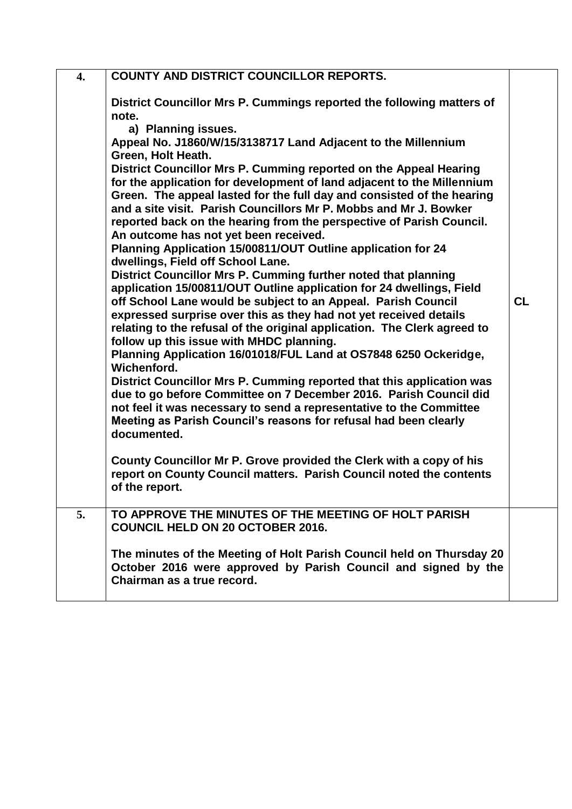| $\overline{4}$ . | <b>COUNTY AND DISTRICT COUNCILLOR REPORTS.</b>                                                                                                                                                                                                                                                                                                                                                                                                                                                                                                                                                                                                                                                                                                                                                                                                                                                                                                                                                                                                                                                                                                                                                                                                                                                                                                                                                                                                                                                                                                                                                                                                                                      |           |
|------------------|-------------------------------------------------------------------------------------------------------------------------------------------------------------------------------------------------------------------------------------------------------------------------------------------------------------------------------------------------------------------------------------------------------------------------------------------------------------------------------------------------------------------------------------------------------------------------------------------------------------------------------------------------------------------------------------------------------------------------------------------------------------------------------------------------------------------------------------------------------------------------------------------------------------------------------------------------------------------------------------------------------------------------------------------------------------------------------------------------------------------------------------------------------------------------------------------------------------------------------------------------------------------------------------------------------------------------------------------------------------------------------------------------------------------------------------------------------------------------------------------------------------------------------------------------------------------------------------------------------------------------------------------------------------------------------------|-----------|
|                  | District Councillor Mrs P. Cummings reported the following matters of<br>note.<br>a) Planning issues.<br>Appeal No. J1860/W/15/3138717 Land Adjacent to the Millennium<br>Green, Holt Heath.<br>District Councillor Mrs P. Cumming reported on the Appeal Hearing<br>for the application for development of land adjacent to the Millennium<br>Green. The appeal lasted for the full day and consisted of the hearing<br>and a site visit. Parish Councillors Mr P. Mobbs and Mr J. Bowker<br>reported back on the hearing from the perspective of Parish Council.<br>An outcome has not yet been received.<br>Planning Application 15/00811/OUT Outline application for 24<br>dwellings, Field off School Lane.<br>District Councillor Mrs P. Cumming further noted that planning<br>application 15/00811/OUT Outline application for 24 dwellings, Field<br>off School Lane would be subject to an Appeal. Parish Council<br>expressed surprise over this as they had not yet received details<br>relating to the refusal of the original application. The Clerk agreed to<br>follow up this issue with MHDC planning.<br>Planning Application 16/01018/FUL Land at OS7848 6250 Ockeridge,<br>Wichenford.<br>District Councillor Mrs P. Cumming reported that this application was<br>due to go before Committee on 7 December 2016. Parish Council did<br>not feel it was necessary to send a representative to the Committee<br>Meeting as Parish Council's reasons for refusal had been clearly<br>documented.<br>County Councillor Mr P. Grove provided the Clerk with a copy of his<br>report on County Council matters. Parish Council noted the contents<br>of the report. | <b>CL</b> |
| 5.               | TO APPROVE THE MINUTES OF THE MEETING OF HOLT PARISH<br><b>COUNCIL HELD ON 20 OCTOBER 2016.</b>                                                                                                                                                                                                                                                                                                                                                                                                                                                                                                                                                                                                                                                                                                                                                                                                                                                                                                                                                                                                                                                                                                                                                                                                                                                                                                                                                                                                                                                                                                                                                                                     |           |
|                  | The minutes of the Meeting of Holt Parish Council held on Thursday 20<br>October 2016 were approved by Parish Council and signed by the<br>Chairman as a true record.                                                                                                                                                                                                                                                                                                                                                                                                                                                                                                                                                                                                                                                                                                                                                                                                                                                                                                                                                                                                                                                                                                                                                                                                                                                                                                                                                                                                                                                                                                               |           |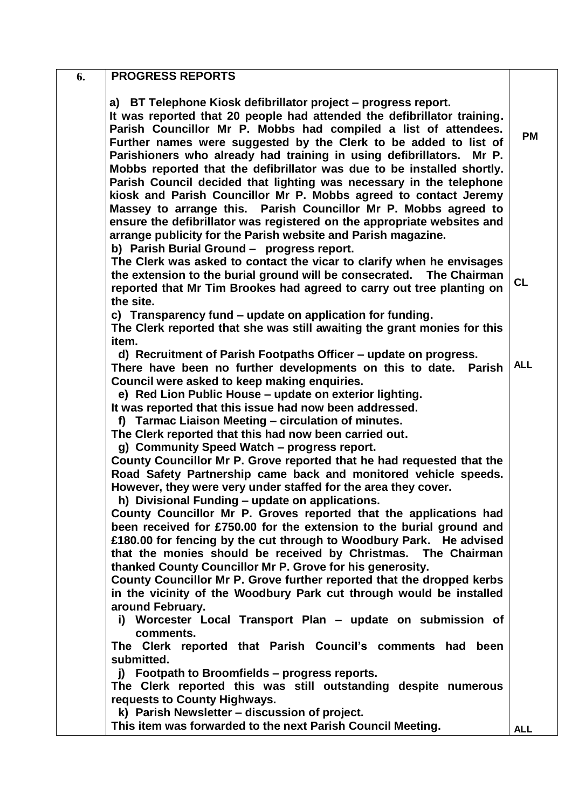| <b>PROGRESS REPORTS</b><br>6.                           |                                                                                                                                                                                                                                                                                                                                                                                                                                                                                                                                                                                                                                                                                                                                                                                                 |            |
|---------------------------------------------------------|-------------------------------------------------------------------------------------------------------------------------------------------------------------------------------------------------------------------------------------------------------------------------------------------------------------------------------------------------------------------------------------------------------------------------------------------------------------------------------------------------------------------------------------------------------------------------------------------------------------------------------------------------------------------------------------------------------------------------------------------------------------------------------------------------|------------|
|                                                         | a) BT Telephone Kiosk defibrillator project – progress report.<br>It was reported that 20 people had attended the defibrillator training.<br>Parish Councillor Mr P. Mobbs had compiled a list of attendees.<br>Further names were suggested by the Clerk to be added to list of<br>Parishioners who already had training in using defibrillators.<br>Mr P.<br>Mobbs reported that the defibrillator was due to be installed shortly.<br>Parish Council decided that lighting was necessary in the telephone<br>kiosk and Parish Councillor Mr P. Mobbs agreed to contact Jeremy<br>Massey to arrange this. Parish Councillor Mr P. Mobbs agreed to<br>ensure the defibrillator was registered on the appropriate websites and<br>arrange publicity for the Parish website and Parish magazine. | <b>PM</b>  |
| b) Parish Burial Ground - progress report.<br>the site. | The Clerk was asked to contact the vicar to clarify when he envisages<br>the extension to the burial ground will be consecrated.<br><b>The Chairman</b><br>reported that Mr Tim Brookes had agreed to carry out tree planting on                                                                                                                                                                                                                                                                                                                                                                                                                                                                                                                                                                | CL         |
| item.                                                   | c) Transparency fund – update on application for funding.<br>The Clerk reported that she was still awaiting the grant monies for this                                                                                                                                                                                                                                                                                                                                                                                                                                                                                                                                                                                                                                                           |            |
| Council were asked to keep making enquiries.            | d) Recruitment of Parish Footpaths Officer - update on progress.<br>There have been no further developments on this to date. Parish<br>e) Red Lion Public House - update on exterior lighting.<br>It was reported that this issue had now been addressed.<br>f) Tarmac Liaison Meeting - circulation of minutes.<br>The Clerk reported that this had now been carried out.                                                                                                                                                                                                                                                                                                                                                                                                                      | <b>ALL</b> |
| g) Community Speed Watch - progress report.             | County Councillor Mr P. Grove reported that he had requested that the<br>Road Safety Partnership came back and monitored vehicle speeds.<br>However, they were very under staffed for the area they cover.<br>h) Divisional Funding - update on applications.                                                                                                                                                                                                                                                                                                                                                                                                                                                                                                                                   |            |
| around February.                                        | County Councillor Mr P. Groves reported that the applications had<br>been received for £750.00 for the extension to the burial ground and<br>£180.00 for fencing by the cut through to Woodbury Park. He advised<br>that the monies should be received by Christmas. The Chairman<br>thanked County Councillor Mr P. Grove for his generosity.<br>County Councillor Mr P. Grove further reported that the dropped kerbs<br>in the vicinity of the Woodbury Park cut through would be installed                                                                                                                                                                                                                                                                                                  |            |
| comments.                                               | i) Worcester Local Transport Plan - update on submission of<br>The Clerk reported that Parish Council's comments had been                                                                                                                                                                                                                                                                                                                                                                                                                                                                                                                                                                                                                                                                       |            |
| submitted.<br>requests to County Highways.              | j) Footpath to Broomfields – progress reports.<br>The Clerk reported this was still outstanding despite numerous                                                                                                                                                                                                                                                                                                                                                                                                                                                                                                                                                                                                                                                                                |            |
| k) Parish Newsletter - discussion of project.           | This item was forwarded to the next Parish Council Meeting.                                                                                                                                                                                                                                                                                                                                                                                                                                                                                                                                                                                                                                                                                                                                     | <b>ALL</b> |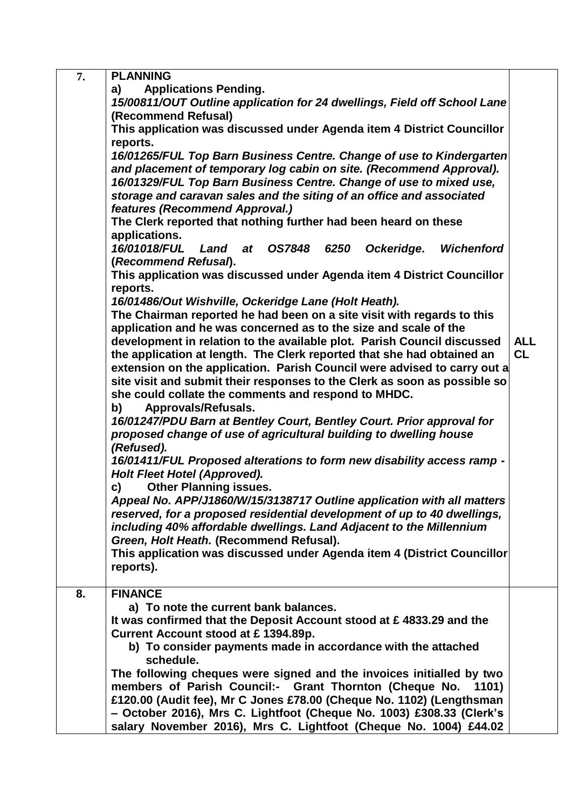| 7. | <b>PLANNING</b>                                                                                                                                                                                                                                                                                                                                                                                                                                                                                                                                                                                                                                                                                                                                                                                                                                   |            |
|----|---------------------------------------------------------------------------------------------------------------------------------------------------------------------------------------------------------------------------------------------------------------------------------------------------------------------------------------------------------------------------------------------------------------------------------------------------------------------------------------------------------------------------------------------------------------------------------------------------------------------------------------------------------------------------------------------------------------------------------------------------------------------------------------------------------------------------------------------------|------------|
|    | <b>Applications Pending.</b><br>a)                                                                                                                                                                                                                                                                                                                                                                                                                                                                                                                                                                                                                                                                                                                                                                                                                |            |
|    | 15/00811/OUT Outline application for 24 dwellings, Field off School Lane                                                                                                                                                                                                                                                                                                                                                                                                                                                                                                                                                                                                                                                                                                                                                                          |            |
|    | (Recommend Refusal)                                                                                                                                                                                                                                                                                                                                                                                                                                                                                                                                                                                                                                                                                                                                                                                                                               |            |
|    | This application was discussed under Agenda item 4 District Councillor                                                                                                                                                                                                                                                                                                                                                                                                                                                                                                                                                                                                                                                                                                                                                                            |            |
|    | reports.                                                                                                                                                                                                                                                                                                                                                                                                                                                                                                                                                                                                                                                                                                                                                                                                                                          |            |
|    | 16/01265/FUL Top Barn Business Centre. Change of use to Kindergarten                                                                                                                                                                                                                                                                                                                                                                                                                                                                                                                                                                                                                                                                                                                                                                              |            |
|    | and placement of temporary log cabin on site. (Recommend Approval).                                                                                                                                                                                                                                                                                                                                                                                                                                                                                                                                                                                                                                                                                                                                                                               |            |
|    | 16/01329/FUL Top Barn Business Centre. Change of use to mixed use,                                                                                                                                                                                                                                                                                                                                                                                                                                                                                                                                                                                                                                                                                                                                                                                |            |
|    | storage and caravan sales and the siting of an office and associated                                                                                                                                                                                                                                                                                                                                                                                                                                                                                                                                                                                                                                                                                                                                                                              |            |
|    | features (Recommend Approval.)                                                                                                                                                                                                                                                                                                                                                                                                                                                                                                                                                                                                                                                                                                                                                                                                                    |            |
|    | The Clerk reported that nothing further had been heard on these                                                                                                                                                                                                                                                                                                                                                                                                                                                                                                                                                                                                                                                                                                                                                                                   |            |
|    | applications.                                                                                                                                                                                                                                                                                                                                                                                                                                                                                                                                                                                                                                                                                                                                                                                                                                     |            |
|    | 16/01018/FUL<br>OS7848 6250<br>Ockeridge.<br><b>Wichenford</b><br>Land<br>at                                                                                                                                                                                                                                                                                                                                                                                                                                                                                                                                                                                                                                                                                                                                                                      |            |
|    | (Recommend Refusal).                                                                                                                                                                                                                                                                                                                                                                                                                                                                                                                                                                                                                                                                                                                                                                                                                              |            |
|    | This application was discussed under Agenda item 4 District Councillor<br>reports.                                                                                                                                                                                                                                                                                                                                                                                                                                                                                                                                                                                                                                                                                                                                                                |            |
|    | 16/01486/Out Wishville, Ockeridge Lane (Holt Heath).                                                                                                                                                                                                                                                                                                                                                                                                                                                                                                                                                                                                                                                                                                                                                                                              |            |
|    | The Chairman reported he had been on a site visit with regards to this                                                                                                                                                                                                                                                                                                                                                                                                                                                                                                                                                                                                                                                                                                                                                                            |            |
|    | application and he was concerned as to the size and scale of the                                                                                                                                                                                                                                                                                                                                                                                                                                                                                                                                                                                                                                                                                                                                                                                  |            |
|    | development in relation to the available plot. Parish Council discussed                                                                                                                                                                                                                                                                                                                                                                                                                                                                                                                                                                                                                                                                                                                                                                           | <b>ALL</b> |
|    | the application at length. The Clerk reported that she had obtained an                                                                                                                                                                                                                                                                                                                                                                                                                                                                                                                                                                                                                                                                                                                                                                            | <b>CL</b>  |
|    | extension on the application. Parish Council were advised to carry out a                                                                                                                                                                                                                                                                                                                                                                                                                                                                                                                                                                                                                                                                                                                                                                          |            |
|    | site visit and submit their responses to the Clerk as soon as possible so                                                                                                                                                                                                                                                                                                                                                                                                                                                                                                                                                                                                                                                                                                                                                                         |            |
|    | she could collate the comments and respond to MHDC.                                                                                                                                                                                                                                                                                                                                                                                                                                                                                                                                                                                                                                                                                                                                                                                               |            |
|    | Approvals/Refusals.<br>b)                                                                                                                                                                                                                                                                                                                                                                                                                                                                                                                                                                                                                                                                                                                                                                                                                         |            |
|    | 16/01247/PDU Barn at Bentley Court, Bentley Court. Prior approval for                                                                                                                                                                                                                                                                                                                                                                                                                                                                                                                                                                                                                                                                                                                                                                             |            |
|    | proposed change of use of agricultural building to dwelling house                                                                                                                                                                                                                                                                                                                                                                                                                                                                                                                                                                                                                                                                                                                                                                                 |            |
|    | (Refused).                                                                                                                                                                                                                                                                                                                                                                                                                                                                                                                                                                                                                                                                                                                                                                                                                                        |            |
|    | 16/01411/FUL Proposed alterations to form new disability access ramp -                                                                                                                                                                                                                                                                                                                                                                                                                                                                                                                                                                                                                                                                                                                                                                            |            |
|    | Holt Fleet Hotel (Approved).                                                                                                                                                                                                                                                                                                                                                                                                                                                                                                                                                                                                                                                                                                                                                                                                                      |            |
|    | <b>Other Planning issues.</b><br>C)                                                                                                                                                                                                                                                                                                                                                                                                                                                                                                                                                                                                                                                                                                                                                                                                               |            |
|    |                                                                                                                                                                                                                                                                                                                                                                                                                                                                                                                                                                                                                                                                                                                                                                                                                                                   |            |
|    |                                                                                                                                                                                                                                                                                                                                                                                                                                                                                                                                                                                                                                                                                                                                                                                                                                                   |            |
|    |                                                                                                                                                                                                                                                                                                                                                                                                                                                                                                                                                                                                                                                                                                                                                                                                                                                   |            |
|    |                                                                                                                                                                                                                                                                                                                                                                                                                                                                                                                                                                                                                                                                                                                                                                                                                                                   |            |
|    |                                                                                                                                                                                                                                                                                                                                                                                                                                                                                                                                                                                                                                                                                                                                                                                                                                                   |            |
|    |                                                                                                                                                                                                                                                                                                                                                                                                                                                                                                                                                                                                                                                                                                                                                                                                                                                   |            |
| 8. | <b>FINANCE</b>                                                                                                                                                                                                                                                                                                                                                                                                                                                                                                                                                                                                                                                                                                                                                                                                                                    |            |
|    | a) To note the current bank balances.                                                                                                                                                                                                                                                                                                                                                                                                                                                                                                                                                                                                                                                                                                                                                                                                             |            |
|    | It was confirmed that the Deposit Account stood at £4833.29 and the                                                                                                                                                                                                                                                                                                                                                                                                                                                                                                                                                                                                                                                                                                                                                                               |            |
|    |                                                                                                                                                                                                                                                                                                                                                                                                                                                                                                                                                                                                                                                                                                                                                                                                                                                   |            |
|    |                                                                                                                                                                                                                                                                                                                                                                                                                                                                                                                                                                                                                                                                                                                                                                                                                                                   |            |
|    |                                                                                                                                                                                                                                                                                                                                                                                                                                                                                                                                                                                                                                                                                                                                                                                                                                                   |            |
|    |                                                                                                                                                                                                                                                                                                                                                                                                                                                                                                                                                                                                                                                                                                                                                                                                                                                   |            |
|    |                                                                                                                                                                                                                                                                                                                                                                                                                                                                                                                                                                                                                                                                                                                                                                                                                                                   |            |
|    |                                                                                                                                                                                                                                                                                                                                                                                                                                                                                                                                                                                                                                                                                                                                                                                                                                                   |            |
|    |                                                                                                                                                                                                                                                                                                                                                                                                                                                                                                                                                                                                                                                                                                                                                                                                                                                   |            |
|    | Appeal No. APP/J1860/W/15/3138717 Outline application with all matters<br>reserved, for a proposed residential development of up to 40 dwellings,<br>including 40% affordable dwellings. Land Adjacent to the Millennium<br>Green, Holt Heath. (Recommend Refusal).<br>This application was discussed under Agenda item 4 (District Councillor<br>reports).<br>Current Account stood at £1394.89p.<br>b) To consider payments made in accordance with the attached<br>schedule.<br>The following cheques were signed and the invoices initialled by two<br>members of Parish Council:-<br>Grant Thornton (Cheque No.<br>1101)<br>£120.00 (Audit fee), Mr C Jones £78.00 (Cheque No. 1102) (Lengthsman<br>- October 2016), Mrs C. Lightfoot (Cheque No. 1003) £308.33 (Clerk's<br>salary November 2016), Mrs C. Lightfoot (Cheque No. 1004) £44.02 |            |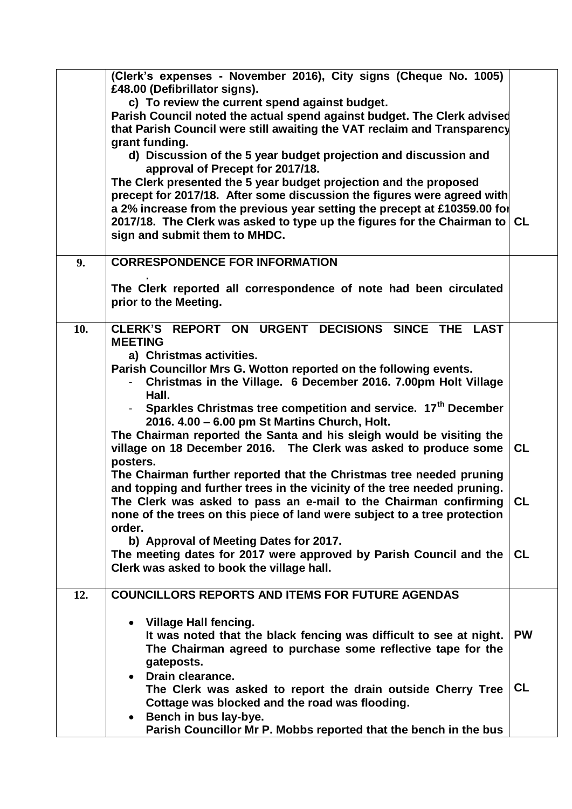|     | (Clerk's expenses - November 2016), City signs (Cheque No. 1005)           |           |
|-----|----------------------------------------------------------------------------|-----------|
|     | £48.00 (Defibrillator signs).                                              |           |
|     | c) To review the current spend against budget.                             |           |
|     | Parish Council noted the actual spend against budget. The Clerk advised    |           |
|     | that Parish Council were still awaiting the VAT reclaim and Transparency   |           |
|     | grant funding.                                                             |           |
|     | d) Discussion of the 5 year budget projection and discussion and           |           |
|     | approval of Precept for 2017/18.                                           |           |
|     | The Clerk presented the 5 year budget projection and the proposed          |           |
|     | precept for 2017/18. After some discussion the figures were agreed with    |           |
|     | a 2% increase from the previous year setting the precept at £10359.00 for  |           |
|     | 2017/18. The Clerk was asked to type up the figures for the Chairman to CL |           |
|     | sign and submit them to MHDC.                                              |           |
|     |                                                                            |           |
| 9.  | <b>CORRESPONDENCE FOR INFORMATION</b>                                      |           |
|     | The Clerk reported all correspondence of note had been circulated          |           |
|     | prior to the Meeting.                                                      |           |
|     |                                                                            |           |
| 10. | CLERK'S REPORT ON URGENT DECISIONS SINCE THE LAST                          |           |
|     | <b>MEETING</b>                                                             |           |
|     | a) Christmas activities.                                                   |           |
|     | Parish Councillor Mrs G. Wotton reported on the following events.          |           |
|     | Christmas in the Village. 6 December 2016. 7.00pm Holt Village             |           |
|     | Hall.                                                                      |           |
|     | Sparkles Christmas tree competition and service. 17 <sup>th</sup> December |           |
|     | 2016. 4.00 - 6.00 pm St Martins Church, Holt.                              |           |
|     | The Chairman reported the Santa and his sleigh would be visiting the       |           |
|     | village on 18 December 2016. The Clerk was asked to produce some           | <b>CL</b> |
|     | posters.                                                                   |           |
|     | The Chairman further reported that the Christmas tree needed pruning       |           |
|     | and topping and further trees in the vicinity of the tree needed pruning.  |           |
|     | The Clerk was asked to pass an e-mail to the Chairman confirming           | <b>CL</b> |
|     | none of the trees on this piece of land were subject to a tree protection  |           |
|     | order.                                                                     |           |
|     | b) Approval of Meeting Dates for 2017.                                     |           |
|     | The meeting dates for 2017 were approved by Parish Council and the         | <b>CL</b> |
|     | Clerk was asked to book the village hall.                                  |           |
| 12. | <b>COUNCILLORS REPORTS AND ITEMS FOR FUTURE AGENDAS</b>                    |           |
|     |                                                                            |           |
|     | • Village Hall fencing.                                                    |           |
|     | It was noted that the black fencing was difficult to see at night.         | <b>PW</b> |
|     | The Chairman agreed to purchase some reflective tape for the               |           |
|     | gateposts.                                                                 |           |
|     | Drain clearance.                                                           |           |
|     | The Clerk was asked to report the drain outside Cherry Tree                | <b>CL</b> |
|     | Cottage was blocked and the road was flooding.                             |           |
|     | Bench in bus lay-bye.<br>٠                                                 |           |
|     | Parish Councillor Mr P. Mobbs reported that the bench in the bus           |           |